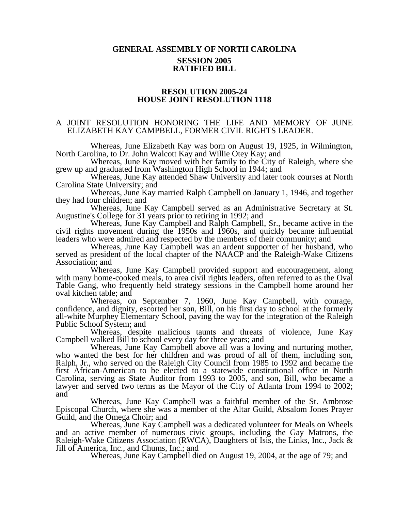## **GENERAL ASSEMBLY OF NORTH CAROLINA SESSION 2005 RATIFIED BILL**

## **RESOLUTION 2005-24 HOUSE JOINT RESOLUTION 1118**

## A JOINT RESOLUTION HONORING THE LIFE AND MEMORY OF JUNE ELIZABETH KAY CAMPBELL, FORMER CIVIL RIGHTS LEADER.

Whereas, June Elizabeth Kay was born on August 19, 1925, in Wilmington, North Carolina, to Dr. John Walcott Kay and Willie Otey Kay; and

Whereas, June Kay moved with her family to the City of Raleigh, where she grew up and graduated from Washington High School in 1944; and

Whereas, June Kay attended Shaw University and later took courses at North Carolina State University; and

Whereas, June Kay married Ralph Campbell on January 1, 1946, and together they had four children; and

Whereas, June Kay Campbell served as an Administrative Secretary at St. Augustine's College for 31 years prior to retiring in 1992; and

Whereas, June Kay Campbell and Ralph Campbell, Sr., became active in the civil rights movement during the 1950s and 1960s, and quickly became influential leaders who were admired and respected by the members of their community; and

Whereas, June Kay Campbell was an ardent supporter of her husband, who served as president of the local chapter of the NAACP and the Raleigh-Wake Citizens Association; and

Whereas, June Kay Campbell provided support and encouragement, along with many home-cooked meals, to area civil rights leaders, often referred to as the Oval Table Gang, who frequently held strategy sessions in the Campbell home around her oval kitchen table; and

Whereas, on September 7, 1960, June Kay Campbell, with courage, confidence, and dignity, escorted her son, Bill, on his first day to school at the formerly all-white Murphey Elementary School, paving the way for the integration of the Raleigh Public School System; and

Whereas, despite malicious taunts and threats of violence, June Kay Campbell walked Bill to school every day for three years; and

Whereas, June Kay Campbell above all was a loving and nurturing mother, who wanted the best for her children and was proud of all of them, including son, Ralph, Jr., who served on the Raleigh City Council from 1985 to 1992 and became the first African-American to be elected to a statewide constitutional office in North Carolina, serving as State Auditor from 1993 to 2005, and son, Bill, who became a lawyer and served two terms as the Mayor of the City of Atlanta from 1994 to 2002; and

Whereas, June Kay Campbell was a faithful member of the St. Ambrose Episcopal Church, where she was a member of the Altar Guild, Absalom Jones Prayer Guild, and the Omega Choir; and

Whereas, June Kay Campbell was a dedicated volunteer for Meals on Wheels and an active member of numerous civic groups, including the Gay Matrons, the Raleigh-Wake Citizens Association (RWCA), Daughters of Isis, the Links, Inc., Jack & Jill of America, Inc., and Chums, Inc.; and

Whereas, June Kay Campbell died on August 19, 2004, at the age of 79; and